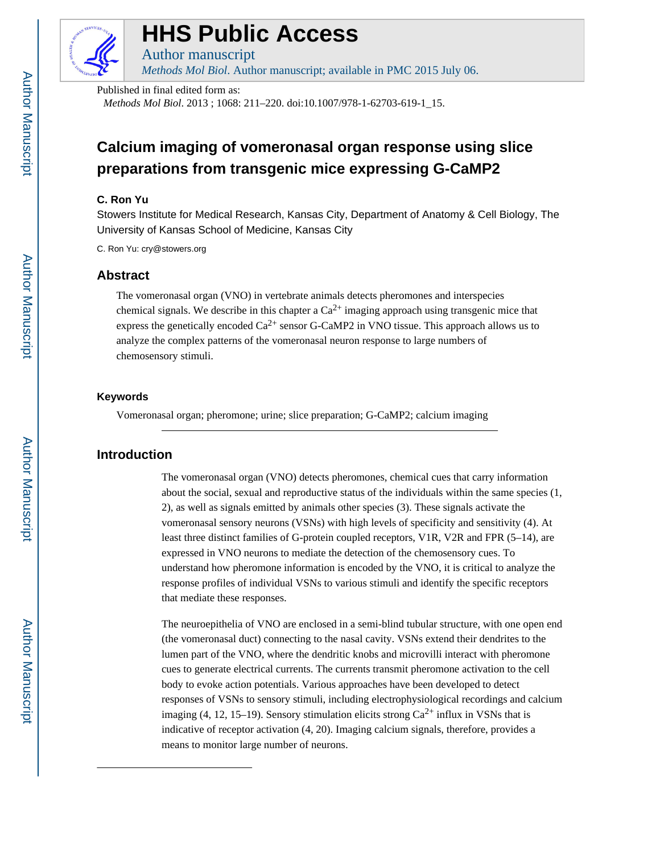

# **HHS Public Access**

Author manuscript *Methods Mol Biol*. Author manuscript; available in PMC 2015 July 06.

Published in final edited form as:

*Methods Mol Biol*. 2013 ; 1068: 211–220. doi:10.1007/978-1-62703-619-1\_15.

# **Calcium imaging of vomeronasal organ response using slice preparations from transgenic mice expressing G-CaMP2**

#### **C. Ron Yu**

Stowers Institute for Medical Research, Kansas City, Department of Anatomy & Cell Biology, The University of Kansas School of Medicine, Kansas City

C. Ron Yu: cry@stowers.org

# **Abstract**

The vomeronasal organ (VNO) in vertebrate animals detects pheromones and interspecies chemical signals. We describe in this chapter a  $Ca^{2+}$  imaging approach using transgenic mice that express the genetically encoded  $Ca^{2+}$  sensor G-CaMP2 in VNO tissue. This approach allows us to analyze the complex patterns of the vomeronasal neuron response to large numbers of chemosensory stimuli.

### **Keywords**

Vomeronasal organ; pheromone; urine; slice preparation; G-CaMP2; calcium imaging

# **Introduction**

The vomeronasal organ (VNO) detects pheromones, chemical cues that carry information about the social, sexual and reproductive status of the individuals within the same species (1, 2), as well as signals emitted by animals other species (3). These signals activate the vomeronasal sensory neurons (VSNs) with high levels of specificity and sensitivity (4). At least three distinct families of G-protein coupled receptors, V1R, V2R and FPR (5–14), are expressed in VNO neurons to mediate the detection of the chemosensory cues. To understand how pheromone information is encoded by the VNO, it is critical to analyze the response profiles of individual VSNs to various stimuli and identify the specific receptors that mediate these responses.

The neuroepithelia of VNO are enclosed in a semi-blind tubular structure, with one open end (the vomeronasal duct) connecting to the nasal cavity. VSNs extend their dendrites to the lumen part of the VNO, where the dendritic knobs and microvilli interact with pheromone cues to generate electrical currents. The currents transmit pheromone activation to the cell body to evoke action potentials. Various approaches have been developed to detect responses of VSNs to sensory stimuli, including electrophysiological recordings and calcium imaging (4, 12, 15–19). Sensory stimulation elicits strong  $Ca^{2+}$  influx in VSNs that is indicative of receptor activation (4, 20). Imaging calcium signals, therefore, provides a means to monitor large number of neurons.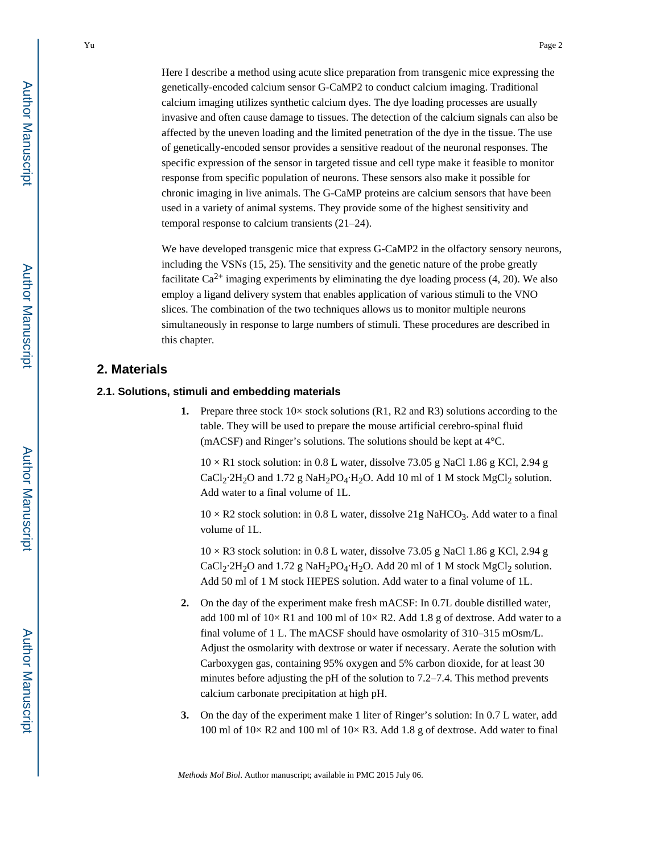Here I describe a method using acute slice preparation from transgenic mice expressing the genetically-encoded calcium sensor G-CaMP2 to conduct calcium imaging. Traditional calcium imaging utilizes synthetic calcium dyes. The dye loading processes are usually invasive and often cause damage to tissues. The detection of the calcium signals can also be affected by the uneven loading and the limited penetration of the dye in the tissue. The use of genetically-encoded sensor provides a sensitive readout of the neuronal responses. The specific expression of the sensor in targeted tissue and cell type make it feasible to monitor response from specific population of neurons. These sensors also make it possible for chronic imaging in live animals. The G-CaMP proteins are calcium sensors that have been used in a variety of animal systems. They provide some of the highest sensitivity and temporal response to calcium transients (21–24).

We have developed transgenic mice that express G-CaMP2 in the olfactory sensory neurons, including the VSNs (15, 25). The sensitivity and the genetic nature of the probe greatly facilitate  $Ca^{2+}$  imaging experiments by eliminating the dye loading process (4, 20). We also employ a ligand delivery system that enables application of various stimuli to the VNO slices. The combination of the two techniques allows us to monitor multiple neurons simultaneously in response to large numbers of stimuli. These procedures are described in this chapter.

# **2. Materials**

#### **2.1. Solutions, stimuli and embedding materials**

**1.** Prepare three stock  $10 \times$  stock solutions (R1, R2 and R3) solutions according to the table. They will be used to prepare the mouse artificial cerebro-spinal fluid (mACSF) and Ringer's solutions. The solutions should be kept at 4°C.

 $10 \times R1$  stock solution: in 0.8 L water, dissolve 73.05 g NaCl 1.86 g KCl, 2.94 g  $CaCl<sub>2</sub>·2H<sub>2</sub>O$  and 1.72 g NaH<sub>2</sub>PO<sub>4</sub>·H<sub>2</sub>O. Add 10 ml of 1 M stock MgCl<sub>2</sub> solution. Add water to a final volume of 1L.

 $10 \times R2$  stock solution: in 0.8 L water, dissolve 21g NaHCO<sub>3</sub>. Add water to a final volume of 1L.

 $10 \times R3$  stock solution: in 0.8 L water, dissolve 73.05 g NaCl 1.86 g KCl, 2.94 g CaCl<sub>2</sub>·2H<sub>2</sub>O and 1.72 g NaH<sub>2</sub>PO<sub>4</sub>·H<sub>2</sub>O. Add 20 ml of 1 M stock MgCl<sub>2</sub> solution. Add 50 ml of 1 M stock HEPES solution. Add water to a final volume of 1L.

- **2.** On the day of the experiment make fresh mACSF: In 0.7L double distilled water, add 100 ml of  $10\times$  R1 and 100 ml of  $10\times$  R2. Add 1.8 g of dextrose. Add water to a final volume of 1 L. The mACSF should have osmolarity of 310–315 mOsm/L. Adjust the osmolarity with dextrose or water if necessary. Aerate the solution with Carboxygen gas, containing 95% oxygen and 5% carbon dioxide, for at least 30 minutes before adjusting the pH of the solution to 7.2–7.4. This method prevents calcium carbonate precipitation at high pH.
- **3.** On the day of the experiment make 1 liter of Ringer's solution: In 0.7 L water, add 100 ml of  $10\times$  R2 and 100 ml of  $10\times$  R3. Add 1.8 g of dextrose. Add water to final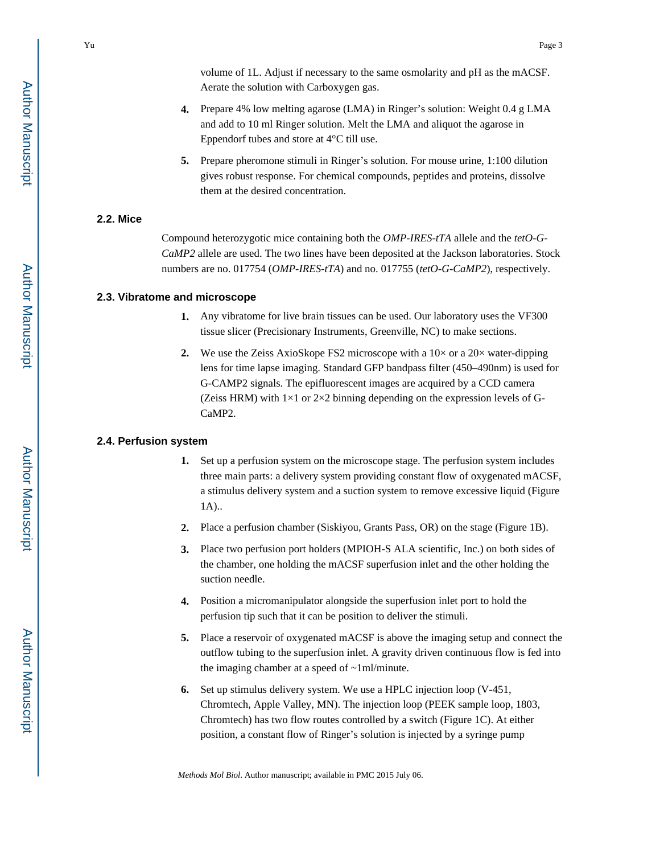volume of 1L. Adjust if necessary to the same osmolarity and pH as the mACSF. Aerate the solution with Carboxygen gas.

- **4.** Prepare 4% low melting agarose (LMA) in Ringer's solution: Weight 0.4 g LMA and add to 10 ml Ringer solution. Melt the LMA and aliquot the agarose in Eppendorf tubes and store at 4°C till use.
- **5.** Prepare pheromone stimuli in Ringer's solution. For mouse urine, 1:100 dilution gives robust response. For chemical compounds, peptides and proteins, dissolve them at the desired concentration.

# **2.2. Mice**

Compound heterozygotic mice containing both the *OMP-IRES-tTA* allele and the *tetO-G-CaMP2* allele are used. The two lines have been deposited at the Jackson laboratories. Stock numbers are no. 017754 (*OMP-IRES-tTA*) and no. 017755 (*tetO-G-CaMP2*), respectively.

#### **2.3. Vibratome and microscope**

- **1.** Any vibratome for live brain tissues can be used. Our laboratory uses the VF300 tissue slicer (Precisionary Instruments, Greenville, NC) to make sections.
- **2.** We use the Zeiss AxioSkope FS2 microscope with a  $10\times$  or a  $20\times$  water-dipping lens for time lapse imaging. Standard GFP bandpass filter (450–490nm) is used for G-CAMP2 signals. The epifluorescent images are acquired by a CCD camera (Zeiss HRM) with  $1\times1$  or  $2\times2$  binning depending on the expression levels of G-CaMP2.

#### **2.4. Perfusion system**

- **1.** Set up a perfusion system on the microscope stage. The perfusion system includes three main parts: a delivery system providing constant flow of oxygenated mACSF, a stimulus delivery system and a suction system to remove excessive liquid (Figure 1A)..
- **2.** Place a perfusion chamber (Siskiyou, Grants Pass, OR) on the stage (Figure 1B).
- **3.** Place two perfusion port holders (MPIOH-S ALA scientific, Inc.) on both sides of the chamber, one holding the mACSF superfusion inlet and the other holding the suction needle.
- **4.** Position a micromanipulator alongside the superfusion inlet port to hold the perfusion tip such that it can be position to deliver the stimuli.
- **5.** Place a reservoir of oxygenated mACSF is above the imaging setup and connect the outflow tubing to the superfusion inlet. A gravity driven continuous flow is fed into the imaging chamber at a speed of ~1ml/minute.
- **6.** Set up stimulus delivery system. We use a HPLC injection loop (V-451, Chromtech, Apple Valley, MN). The injection loop (PEEK sample loop, 1803, Chromtech) has two flow routes controlled by a switch (Figure 1C). At either position, a constant flow of Ringer's solution is injected by a syringe pump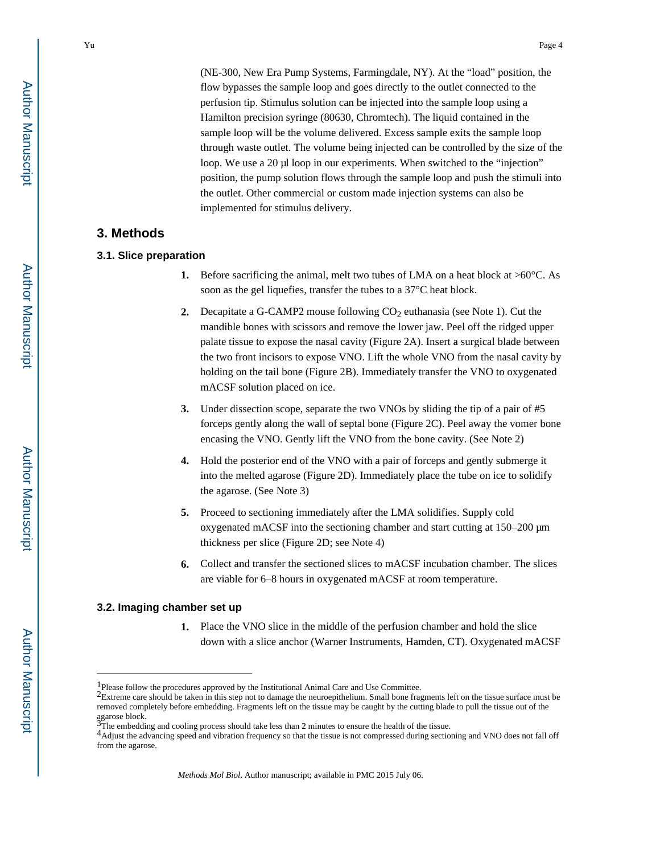(NE-300, New Era Pump Systems, Farmingdale, NY). At the "load" position, the flow bypasses the sample loop and goes directly to the outlet connected to the perfusion tip. Stimulus solution can be injected into the sample loop using a Hamilton precision syringe (80630, Chromtech). The liquid contained in the sample loop will be the volume delivered. Excess sample exits the sample loop through waste outlet. The volume being injected can be controlled by the size of the loop. We use a 20 μl loop in our experiments. When switched to the "injection" position, the pump solution flows through the sample loop and push the stimuli into the outlet. Other commercial or custom made injection systems can also be implemented for stimulus delivery.

# **3. Methods**

- **3.1. Slice preparation**
	- **1.** Before sacrificing the animal, melt two tubes of LMA on a heat block at  $>60^{\circ}$ C. As soon as the gel liquefies, transfer the tubes to a 37°C heat block.
	- **2.** Decapitate a G-CAMP2 mouse following  $CO<sub>2</sub>$  euthanasia (see Note 1). Cut the mandible bones with scissors and remove the lower jaw. Peel off the ridged upper palate tissue to expose the nasal cavity (Figure 2A). Insert a surgical blade between the two front incisors to expose VNO. Lift the whole VNO from the nasal cavity by holding on the tail bone (Figure 2B). Immediately transfer the VNO to oxygenated mACSF solution placed on ice.
	- **3.** Under dissection scope, separate the two VNOs by sliding the tip of a pair of #5 forceps gently along the wall of septal bone (Figure 2C). Peel away the vomer bone encasing the VNO. Gently lift the VNO from the bone cavity. (See Note 2)
	- **4.** Hold the posterior end of the VNO with a pair of forceps and gently submerge it into the melted agarose (Figure 2D). Immediately place the tube on ice to solidify the agarose. (See Note 3)
	- **5.** Proceed to sectioning immediately after the LMA solidifies. Supply cold oxygenated mACSF into the sectioning chamber and start cutting at 150–200 μm thickness per slice (Figure 2D; see Note 4)
	- **6.** Collect and transfer the sectioned slices to mACSF incubation chamber. The slices are viable for 6–8 hours in oxygenated mACSF at room temperature.

#### **3.2. Imaging chamber set up**

**1.** Place the VNO slice in the middle of the perfusion chamber and hold the slice down with a slice anchor (Warner Instruments, Hamden, CT). Oxygenated mACSF

<sup>1</sup>Please follow the procedures approved by the Institutional Animal Care and Use Committee.

<sup>&</sup>lt;sup>2</sup>Extreme care should be taken in this step not to damage the neuroepithelium. Small bone fragments left on the tissue surface must be removed completely before embedding. Fragments left on the tissue may be caught by the cutting blade to pull the tissue out of the agarose block.<br><sup>3</sup>The embedding and cooling process should take less than 2 minutes to ensure the health of the tissue.

<sup>4</sup>Adjust the advancing speed and vibration frequency so that the tissue is not compressed during sectioning and VNO does not fall off from the agarose.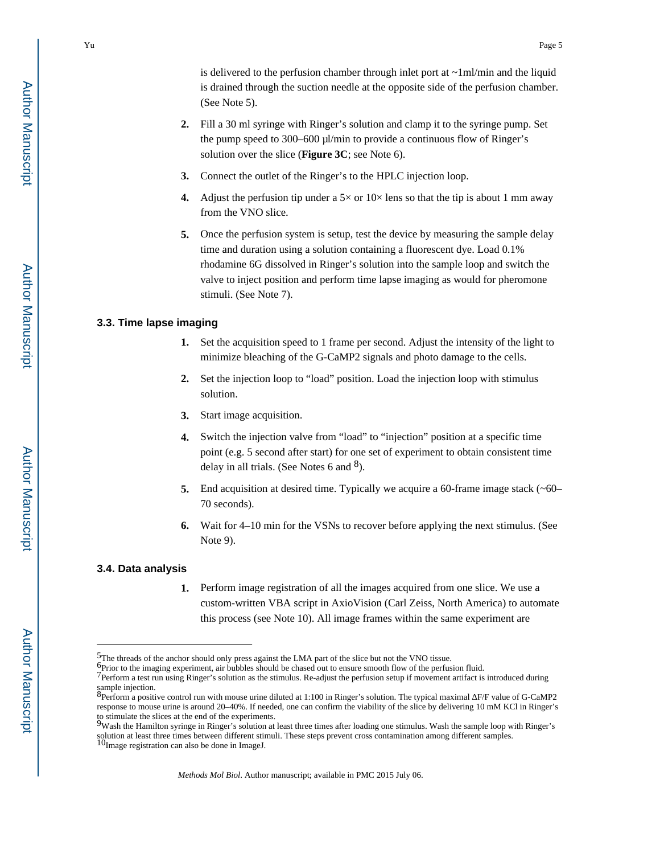is delivered to the perfusion chamber through inlet port at  $\sim 1$ ml/min and the liquid is drained through the suction needle at the opposite side of the perfusion chamber. (See Note 5).

- **2.** Fill a 30 ml syringe with Ringer's solution and clamp it to the syringe pump. Set the pump speed to 300–600 μl/min to provide a continuous flow of Ringer's solution over the slice (**Figure 3C**; see Note 6).
- **3.** Connect the outlet of the Ringer's to the HPLC injection loop.
- **4.** Adjust the perfusion tip under a  $5 \times$  or  $10 \times$  lens so that the tip is about 1 mm away from the VNO slice.
- **5.** Once the perfusion system is setup, test the device by measuring the sample delay time and duration using a solution containing a fluorescent dye. Load 0.1% rhodamine 6G dissolved in Ringer's solution into the sample loop and switch the valve to inject position and perform time lapse imaging as would for pheromone stimuli. (See Note 7).

#### **3.3. Time lapse imaging**

- **1.** Set the acquisition speed to 1 frame per second. Adjust the intensity of the light to minimize bleaching of the G-CaMP2 signals and photo damage to the cells.
- **2.** Set the injection loop to "load" position. Load the injection loop with stimulus solution.
- **3.** Start image acquisition.
- **4.** Switch the injection valve from "load" to "injection" position at a specific time point (e.g. 5 second after start) for one set of experiment to obtain consistent time delay in all trials. (See Notes 6 and  $8$ ).
- **5.** End acquisition at desired time. Typically we acquire a 60-frame image stack (~60– 70 seconds).
- **6.** Wait for 4–10 min for the VSNs to recover before applying the next stimulus. (See Note 9).

#### **3.4. Data analysis**

**1.** Perform image registration of all the images acquired from one slice. We use a custom-written VBA script in AxioVision (Carl Zeiss, North America) to automate this process (see Note 10). All image frames within the same experiment are

<sup>5</sup>The threads of the anchor should only press against the LMA part of the slice but not the VNO tissue.

<sup>6</sup>Prior to the imaging experiment, air bubbles should be chased out to ensure smooth flow of the perfusion fluid.

<sup>&</sup>lt;sup>7</sup>Perform a test run using Ringer's solution as the stimulus. Re-adjust the perfusion setup if movement artifact is introduced during sample injection.<br><sup>8</sup>Perform a positive control run with mouse urine diluted at 1:100 in Ringer's solution. The typical maximal *F*/F value of G-CaMP2

response to mouse urine is around 20–40%. If needed, one can confirm the viability of the slice by delivering 10 mM KCl in Ringer's to stimulate the slices at the end of the experiments.<br><sup>9</sup>Wash the Hamilton syringe in Ringer's solution at least three times after loading one stimulus. Wash the sample loop with Ringer's

solution at least three times between different stimuli. These steps prevent cross contamination among different samples.<br><sup>10</sup>Image registration can also be done in ImageJ.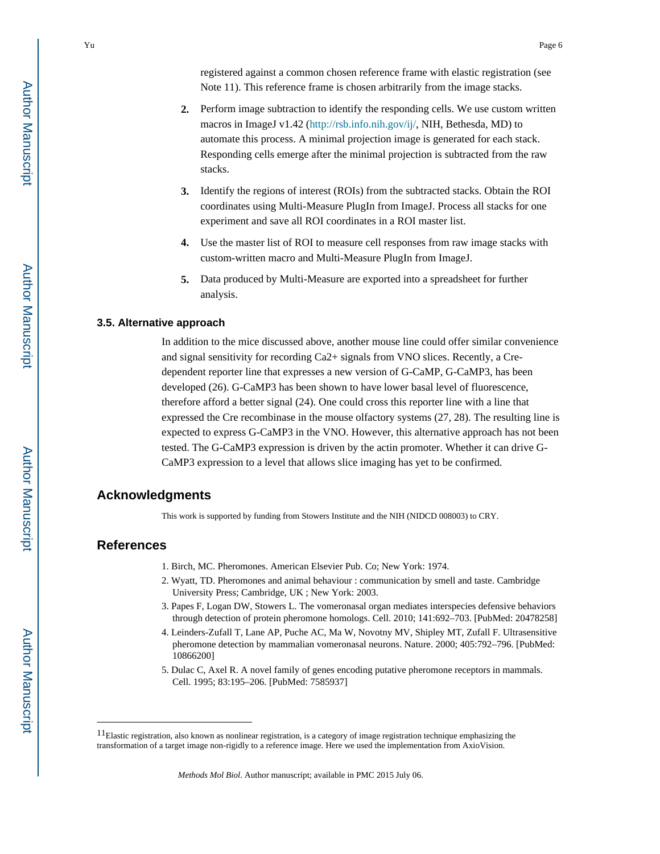registered against a common chosen reference frame with elastic registration (see Note 11). This reference frame is chosen arbitrarily from the image stacks.

- **2.** Perform image subtraction to identify the responding cells. We use custom written macros in ImageJ v1.42 [\(http://rsb.info.nih.gov/ij/](http://rsb.info.nih.gov/ij/), NIH, Bethesda, MD) to automate this process. A minimal projection image is generated for each stack. Responding cells emerge after the minimal projection is subtracted from the raw stacks.
- **3.** Identify the regions of interest (ROIs) from the subtracted stacks. Obtain the ROI coordinates using Multi-Measure PlugIn from ImageJ. Process all stacks for one experiment and save all ROI coordinates in a ROI master list.
- **4.** Use the master list of ROI to measure cell responses from raw image stacks with custom-written macro and Multi-Measure PlugIn from ImageJ.
- **5.** Data produced by Multi-Measure are exported into a spreadsheet for further analysis.

#### **3.5. Alternative approach**

In addition to the mice discussed above, another mouse line could offer similar convenience and signal sensitivity for recording Ca2+ signals from VNO slices. Recently, a Credependent reporter line that expresses a new version of G-CaMP, G-CaMP3, has been developed (26). G-CaMP3 has been shown to have lower basal level of fluorescence, therefore afford a better signal (24). One could cross this reporter line with a line that expressed the Cre recombinase in the mouse olfactory systems (27, 28). The resulting line is expected to express G-CaMP3 in the VNO. However, this alternative approach has not been tested. The G-CaMP3 expression is driven by the actin promoter. Whether it can drive G-CaMP3 expression to a level that allows slice imaging has yet to be confirmed.

# **Acknowledgments**

This work is supported by funding from Stowers Institute and the NIH (NIDCD 008003) to CRY.

# **References**

- 1. Birch, MC. Pheromones. American Elsevier Pub. Co; New York: 1974.
- 2. Wyatt, TD. Pheromones and animal behaviour : communication by smell and taste. Cambridge University Press; Cambridge, UK ; New York: 2003.
- 3. Papes F, Logan DW, Stowers L. The vomeronasal organ mediates interspecies defensive behaviors through detection of protein pheromone homologs. Cell. 2010; 141:692–703. [PubMed: 20478258]
- 4. Leinders-Zufall T, Lane AP, Puche AC, Ma W, Novotny MV, Shipley MT, Zufall F. Ultrasensitive pheromone detection by mammalian vomeronasal neurons. Nature. 2000; 405:792–796. [PubMed: 10866200]
- 5. Dulac C, Axel R. A novel family of genes encoding putative pheromone receptors in mammals. Cell. 1995; 83:195–206. [PubMed: 7585937]

<sup>11</sup>Elastic registration, also known as nonlinear registration, is a category of image registration technique emphasizing the transformation of a target image non-rigidly to a reference image. Here we used the implementation from AxioVision.

*Methods Mol Biol*. Author manuscript; available in PMC 2015 July 06.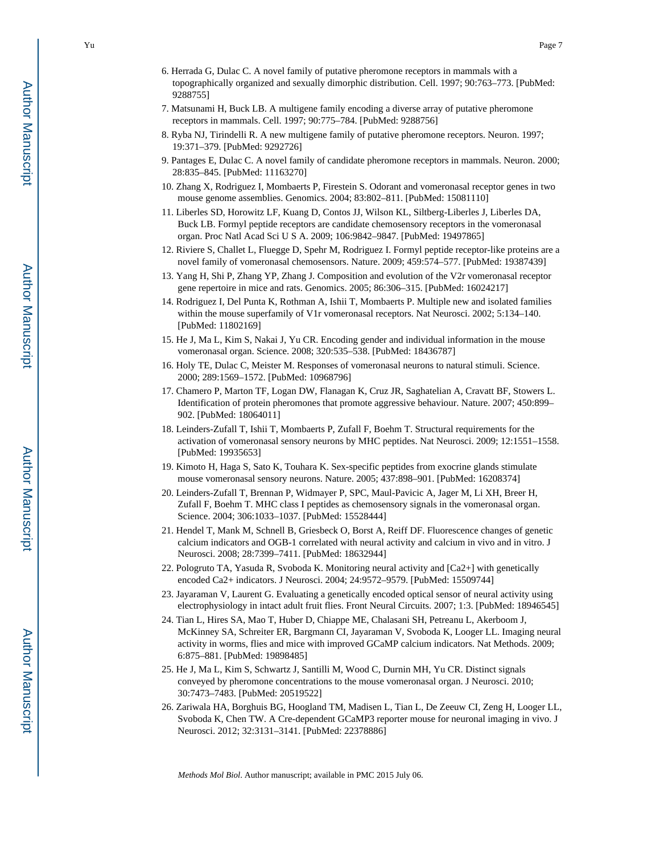- 6. Herrada G, Dulac C. A novel family of putative pheromone receptors in mammals with a topographically organized and sexually dimorphic distribution. Cell. 1997; 90:763–773. [PubMed: 9288755]
- 7. Matsunami H, Buck LB. A multigene family encoding a diverse array of putative pheromone receptors in mammals. Cell. 1997; 90:775–784. [PubMed: 9288756]
- 8. Ryba NJ, Tirindelli R. A new multigene family of putative pheromone receptors. Neuron. 1997; 19:371–379. [PubMed: 9292726]
- 9. Pantages E, Dulac C. A novel family of candidate pheromone receptors in mammals. Neuron. 2000; 28:835–845. [PubMed: 11163270]
- 10. Zhang X, Rodriguez I, Mombaerts P, Firestein S. Odorant and vomeronasal receptor genes in two mouse genome assemblies. Genomics. 2004; 83:802–811. [PubMed: 15081110]
- 11. Liberles SD, Horowitz LF, Kuang D, Contos JJ, Wilson KL, Siltberg-Liberles J, Liberles DA, Buck LB. Formyl peptide receptors are candidate chemosensory receptors in the vomeronasal organ. Proc Natl Acad Sci U S A. 2009; 106:9842–9847. [PubMed: 19497865]
- 12. Riviere S, Challet L, Fluegge D, Spehr M, Rodriguez I. Formyl peptide receptor-like proteins are a novel family of vomeronasal chemosensors. Nature. 2009; 459:574–577. [PubMed: 19387439]
- 13. Yang H, Shi P, Zhang YP, Zhang J. Composition and evolution of the V2r vomeronasal receptor gene repertoire in mice and rats. Genomics. 2005; 86:306–315. [PubMed: 16024217]
- 14. Rodriguez I, Del Punta K, Rothman A, Ishii T, Mombaerts P. Multiple new and isolated families within the mouse superfamily of V1r vomeronasal receptors. Nat Neurosci. 2002; 5:134–140. [PubMed: 11802169]
- 15. He J, Ma L, Kim S, Nakai J, Yu CR. Encoding gender and individual information in the mouse vomeronasal organ. Science. 2008; 320:535–538. [PubMed: 18436787]
- 16. Holy TE, Dulac C, Meister M. Responses of vomeronasal neurons to natural stimuli. Science. 2000; 289:1569–1572. [PubMed: 10968796]
- 17. Chamero P, Marton TF, Logan DW, Flanagan K, Cruz JR, Saghatelian A, Cravatt BF, Stowers L. Identification of protein pheromones that promote aggressive behaviour. Nature. 2007; 450:899– 902. [PubMed: 18064011]
- 18. Leinders-Zufall T, Ishii T, Mombaerts P, Zufall F, Boehm T. Structural requirements for the activation of vomeronasal sensory neurons by MHC peptides. Nat Neurosci. 2009; 12:1551–1558. [PubMed: 19935653]
- 19. Kimoto H, Haga S, Sato K, Touhara K. Sex-specific peptides from exocrine glands stimulate mouse vomeronasal sensory neurons. Nature. 2005; 437:898–901. [PubMed: 16208374]
- 20. Leinders-Zufall T, Brennan P, Widmayer P, SPC, Maul-Pavicic A, Jager M, Li XH, Breer H, Zufall F, Boehm T. MHC class I peptides as chemosensory signals in the vomeronasal organ. Science. 2004; 306:1033–1037. [PubMed: 15528444]
- 21. Hendel T, Mank M, Schnell B, Griesbeck O, Borst A, Reiff DF. Fluorescence changes of genetic calcium indicators and OGB-1 correlated with neural activity and calcium in vivo and in vitro. J Neurosci. 2008; 28:7399–7411. [PubMed: 18632944]
- 22. Pologruto TA, Yasuda R, Svoboda K. Monitoring neural activity and [Ca2+] with genetically encoded Ca2+ indicators. J Neurosci. 2004; 24:9572–9579. [PubMed: 15509744]
- 23. Jayaraman V, Laurent G. Evaluating a genetically encoded optical sensor of neural activity using electrophysiology in intact adult fruit flies. Front Neural Circuits. 2007; 1:3. [PubMed: 18946545]
- 24. Tian L, Hires SA, Mao T, Huber D, Chiappe ME, Chalasani SH, Petreanu L, Akerboom J, McKinney SA, Schreiter ER, Bargmann CI, Jayaraman V, Svoboda K, Looger LL. Imaging neural activity in worms, flies and mice with improved GCaMP calcium indicators. Nat Methods. 2009; 6:875–881. [PubMed: 19898485]
- 25. He J, Ma L, Kim S, Schwartz J, Santilli M, Wood C, Durnin MH, Yu CR. Distinct signals conveyed by pheromone concentrations to the mouse vomeronasal organ. J Neurosci. 2010; 30:7473–7483. [PubMed: 20519522]
- 26. Zariwala HA, Borghuis BG, Hoogland TM, Madisen L, Tian L, De Zeeuw CI, Zeng H, Looger LL, Svoboda K, Chen TW. A Cre-dependent GCaMP3 reporter mouse for neuronal imaging in vivo. J Neurosci. 2012; 32:3131–3141. [PubMed: 22378886]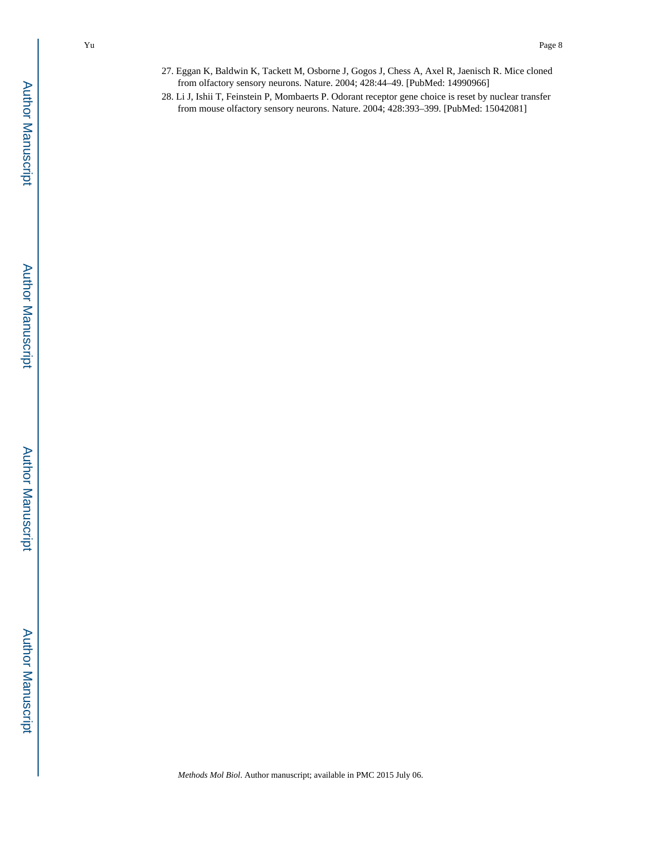- 27. Eggan K, Baldwin K, Tackett M, Osborne J, Gogos J, Chess A, Axel R, Jaenisch R. Mice cloned from olfactory sensory neurons. Nature. 2004; 428:44–49. [PubMed: 14990966]
- 28. Li J, Ishii T, Feinstein P, Mombaerts P. Odorant receptor gene choice is reset by nuclear transfer from mouse olfactory sensory neurons. Nature. 2004; 428:393–399. [PubMed: 15042081]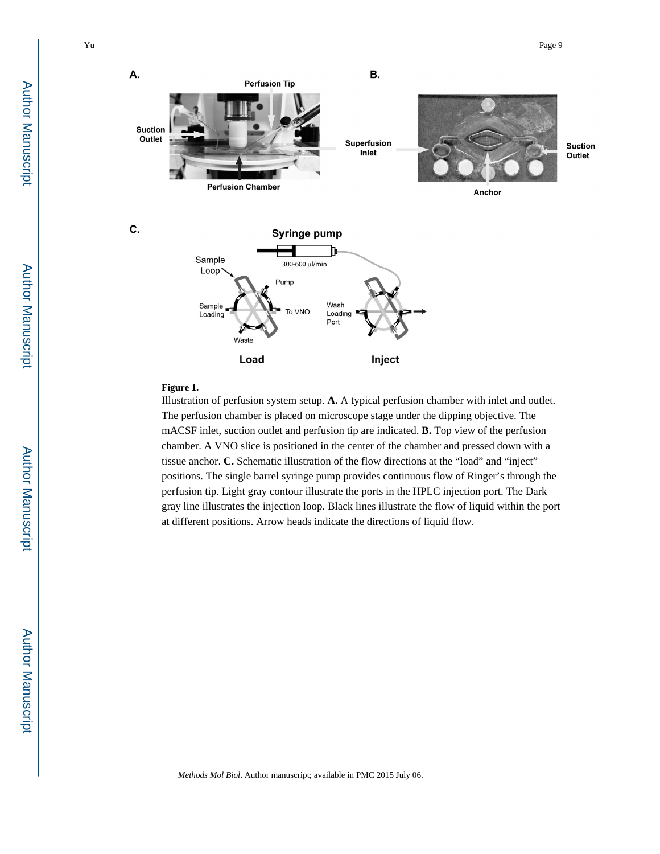

#### **Figure 1.**

Illustration of perfusion system setup. **A.** A typical perfusion chamber with inlet and outlet. The perfusion chamber is placed on microscope stage under the dipping objective. The mACSF inlet, suction outlet and perfusion tip are indicated. **B.** Top view of the perfusion chamber. A VNO slice is positioned in the center of the chamber and pressed down with a tissue anchor. **C.** Schematic illustration of the flow directions at the "load" and "inject" positions. The single barrel syringe pump provides continuous flow of Ringer's through the perfusion tip. Light gray contour illustrate the ports in the HPLC injection port. The Dark gray line illustrates the injection loop. Black lines illustrate the flow of liquid within the port at different positions. Arrow heads indicate the directions of liquid flow.